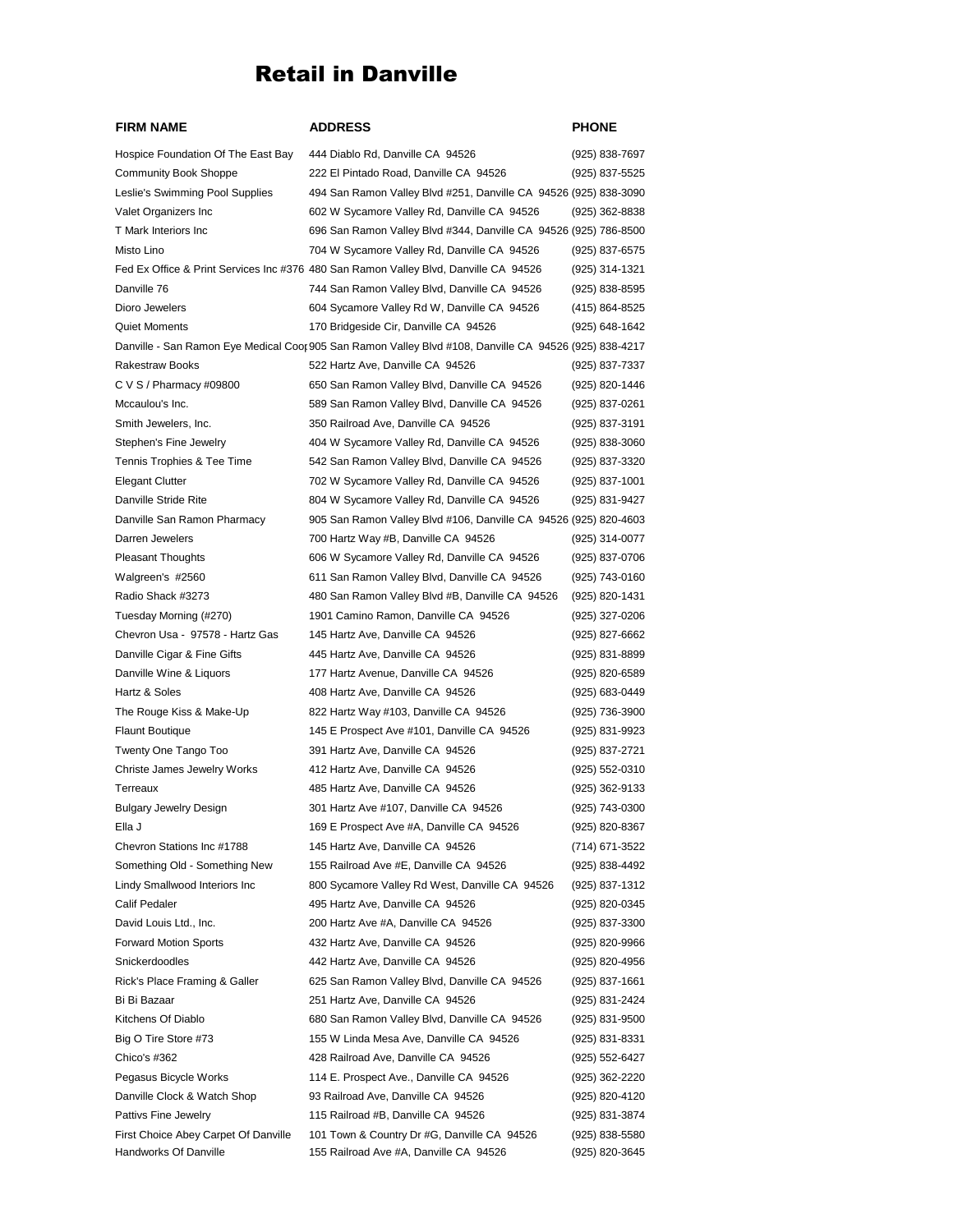## Retail in Danville

| <b>FIRM NAME</b>                     | <b>ADDRESS</b>                                                                                         | PHONE          |
|--------------------------------------|--------------------------------------------------------------------------------------------------------|----------------|
| Hospice Foundation Of The East Bay   | 444 Diablo Rd, Danville CA 94526                                                                       | (925) 838-7697 |
| <b>Community Book Shoppe</b>         | 222 El Pintado Road, Danville CA 94526                                                                 | (925) 837-5525 |
| Leslie's Swimming Pool Supplies      | 494 San Ramon Valley Blvd #251, Danville CA 94526 (925) 838-3090                                       |                |
| Valet Organizers Inc                 | 602 W Sycamore Valley Rd, Danville CA 94526                                                            | (925) 362-8838 |
| T Mark Interiors Inc                 | 696 San Ramon Valley Blvd #344, Danville CA 94526 (925) 786-8500                                       |                |
| Misto Lino                           | 704 W Sycamore Valley Rd, Danville CA 94526                                                            | (925) 837-6575 |
|                                      | Fed Ex Office & Print Services Inc #376 480 San Ramon Valley Blvd, Danville CA 94526                   | (925) 314-1321 |
| Danville 76                          | 744 San Ramon Valley Blvd, Danville CA 94526                                                           | (925) 838-8595 |
| Dioro Jewelers                       | 604 Sycamore Valley Rd W, Danville CA 94526                                                            | (415) 864-8525 |
| <b>Quiet Moments</b>                 | 170 Bridgeside Cir, Danville CA 94526                                                                  | (925) 648-1642 |
|                                      | Danville - San Ramon Eye Medical Coor 905 San Ramon Valley Blvd #108, Danville CA 94526 (925) 838-4217 |                |
| Rakestraw Books                      | 522 Hartz Ave, Danville CA 94526                                                                       | (925) 837-7337 |
| C V S / Pharmacy #09800              | 650 San Ramon Valley Blvd, Danville CA 94526                                                           | (925) 820-1446 |
| Mccaulou's Inc.                      | 589 San Ramon Valley Blvd, Danville CA 94526                                                           | (925) 837-0261 |
| Smith Jewelers, Inc.                 | 350 Railroad Ave, Danville CA 94526                                                                    | (925) 837-3191 |
| Stephen's Fine Jewelry               | 404 W Sycamore Valley Rd, Danville CA 94526                                                            | (925) 838-3060 |
| Tennis Trophies & Tee Time           | 542 San Ramon Valley Blvd, Danville CA 94526                                                           | (925) 837-3320 |
|                                      |                                                                                                        |                |
| <b>Elegant Clutter</b>               | 702 W Sycamore Valley Rd, Danville CA 94526                                                            | (925) 837-1001 |
| Danville Stride Rite                 | 804 W Sycamore Valley Rd, Danville CA 94526                                                            | (925) 831-9427 |
| Danville San Ramon Pharmacy          | 905 San Ramon Valley Blvd #106, Danville CA 94526 (925) 820-4603                                       |                |
| Darren Jewelers                      | 700 Hartz Way #B, Danville CA 94526                                                                    | (925) 314-0077 |
| <b>Pleasant Thoughts</b>             | 606 W Sycamore Valley Rd, Danville CA 94526                                                            | (925) 837-0706 |
| Walgreen's #2560                     | 611 San Ramon Valley Blvd, Danville CA 94526                                                           | (925) 743-0160 |
| Radio Shack #3273                    | 480 San Ramon Valley Blvd #B, Danville CA 94526                                                        | (925) 820-1431 |
| Tuesday Morning (#270)               | 1901 Camino Ramon, Danville CA 94526                                                                   | (925) 327-0206 |
| Chevron Usa - 97578 - Hartz Gas      | 145 Hartz Ave, Danville CA 94526                                                                       | (925) 827-6662 |
| Danville Cigar & Fine Gifts          | 445 Hartz Ave, Danville CA 94526                                                                       | (925) 831-8899 |
| Danville Wine & Liquors              | 177 Hartz Avenue, Danville CA 94526                                                                    | (925) 820-6589 |
| Hartz & Soles                        | 408 Hartz Ave, Danville CA 94526                                                                       | (925) 683-0449 |
| The Rouge Kiss & Make-Up             | 822 Hartz Way #103, Danville CA 94526                                                                  | (925) 736-3900 |
| <b>Flaunt Boutique</b>               | 145 E Prospect Ave #101, Danville CA 94526                                                             | (925) 831-9923 |
| Twenty One Tango Too                 | 391 Hartz Ave, Danville CA 94526                                                                       | (925) 837-2721 |
| Christe James Jewelry Works          | 412 Hartz Ave, Danville CA 94526                                                                       | (925) 552-0310 |
| Terreaux                             | 485 Hartz Ave, Danville CA 94526                                                                       | (925) 362-9133 |
| <b>Bulgary Jewelry Design</b>        | 301 Hartz Ave #107, Danville CA 94526                                                                  | (925) 743-0300 |
| Ella J                               | 169 E Prospect Ave #A, Danville CA 94526                                                               | (925) 820-8367 |
| Chevron Stations Inc #1788           | 145 Hartz Ave, Danville CA 94526                                                                       | (714) 671-3522 |
| Something Old - Something New        | 155 Railroad Ave #E, Danville CA 94526                                                                 | (925) 838-4492 |
| Lindy Smallwood Interiors Inc        | 800 Sycamore Valley Rd West, Danville CA 94526                                                         | (925) 837-1312 |
| Calif Pedaler                        | 495 Hartz Ave, Danville CA 94526                                                                       | (925) 820-0345 |
| David Louis Ltd., Inc.               | 200 Hartz Ave #A, Danville CA 94526                                                                    | (925) 837-3300 |
| <b>Forward Motion Sports</b>         | 432 Hartz Ave, Danville CA 94526                                                                       | (925) 820-9966 |
| Snickerdoodles                       | 442 Hartz Ave, Danville CA 94526                                                                       | (925) 820-4956 |
| Rick's Place Framing & Galler        | 625 San Ramon Valley Blvd, Danville CA 94526                                                           | (925) 837-1661 |
| Bi Bi Bazaar                         | 251 Hartz Ave, Danville CA 94526                                                                       | (925) 831-2424 |
| Kitchens Of Diablo                   | 680 San Ramon Valley Blvd, Danville CA 94526                                                           | (925) 831-9500 |
| Big O Tire Store #73                 | 155 W Linda Mesa Ave, Danville CA 94526                                                                | (925) 831-8331 |
| Chico's #362                         | 428 Railroad Ave, Danville CA 94526                                                                    | (925) 552-6427 |
| Pegasus Bicycle Works                | 114 E. Prospect Ave., Danville CA 94526                                                                | (925) 362-2220 |
| Danville Clock & Watch Shop          | 93 Railroad Ave, Danville CA 94526                                                                     | (925) 820-4120 |
| Pattivs Fine Jewelry                 | 115 Railroad #B, Danville CA 94526                                                                     | (925) 831-3874 |
| First Choice Abey Carpet Of Danville | 101 Town & Country Dr #G, Danville CA 94526                                                            | (925) 838-5580 |
| Handworks Of Danville                | 155 Railroad Ave #A, Danville CA 94526                                                                 | (925) 820-3645 |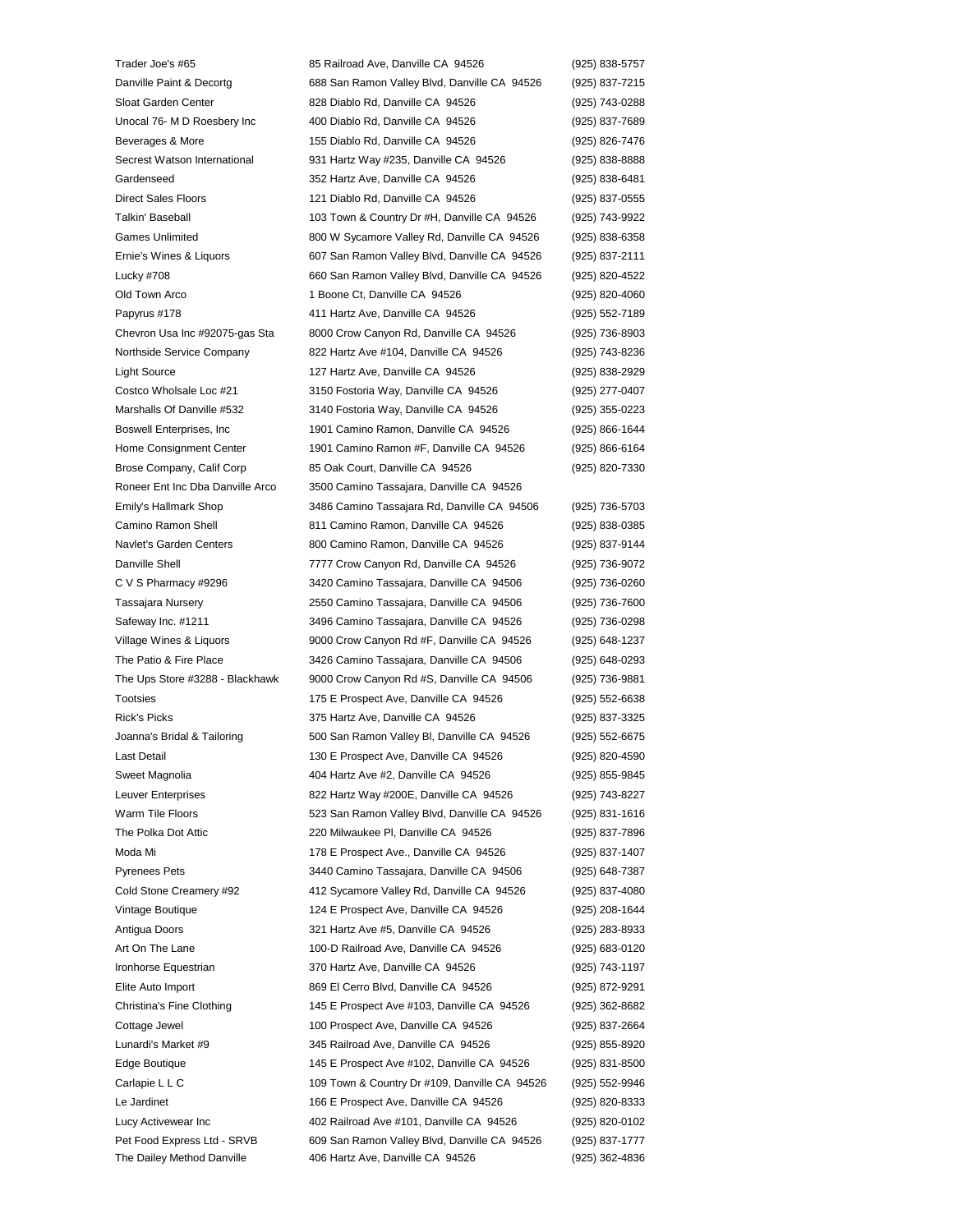Trader Joe's #65 85 Railroad Ave, Danville CA 94526 (925) 838-5757 Danville Paint & Decortg 688 San Ramon Valley Blvd, Danville CA 94526 (925) 837-7215 Sloat Garden Center 828 Diablo Rd, Danville CA 94526 (925) 743-0288 Unocal 76- M D Roesbery Inc 400 Diablo Rd, Danville CA 94526 (925) 837-7689 Beverages & More 155 Diablo Rd, Danville CA 94526 (925) 826-7476 Secrest Watson International 931 Hartz Way #235, Danville CA 94526 (925) 838-8888 Gardenseed 352 Hartz Ave, Danville CA 94526 (925) 838-6481 Direct Sales Floors 121 Diablo Rd, Danville CA 94526 (925) 837-0555 Talkin' Baseball 103 Town & Country Dr #H, Danville CA 94526 (925) 743-9922 Games Unlimited **800 W Sycamore Valley Rd, Danville CA 94526** (925) 838-6358 Ernie's Wines & Liquors 607 San Ramon Valley Blvd, Danville CA 94526 (925) 837-2111 Lucky #708 660 San Ramon Valley Blvd, Danville CA 94526 (925) 820-4522 Old Town Arco **1 Boone Ct, Danville CA 94526** (925) 820-4060 Papyrus #178 411 Hartz Ave, Danville CA 94526 (925) 552-7189 Chevron Usa Inc #92075-gas Sta 8000 Crow Canyon Rd, Danville CA 94526 (925) 736-8903 Northside Service Company 822 Hartz Ave #104, Danville CA 94526 (925) 743-8236 Light Source 127 Hartz Ave, Danville CA 94526 (925) 838-2929 Costco Wholsale Loc #21 3150 Fostoria Way, Danville CA 94526 (925) 277-0407 Marshalls Of Danville #532 3140 Fostoria Way, Danville CA 94526 (925) 355-0223 Boswell Enterprises, Inc 1901 Camino Ramon, Danville CA 94526 (925) 866-1644 Home Consignment Center 1901 Camino Ramon #F, Danville CA 94526 (925) 866-6164 Brose Company, Calif Corp 85 Oak Court, Danville CA 94526 (925) 820-7330 Roneer Ent Inc Dba Danville Arco 3500 Camino Tassajara, Danville CA 94526 Emily's Hallmark Shop 3486 Camino Tassajara Rd, Danville CA 94506 (925) 736-5703 Camino Ramon Shell 811 Camino Ramon, Danville CA 94526 (925) 838-0385 Navlet's Garden Centers 800 Camino Ramon, Danville CA 94526 (925) 837-9144 Danville Shell 7777 Crow Canyon Rd, Danville CA 94526 (925) 736-9072 C V S Pharmacy #9296 3420 Camino Tassajara, Danville CA 94506 (925) 736-0260 Tassajara Nursery 2550 Camino Tassajara, Danville CA 94506 (925) 736-7600 Safeway Inc. #1211 3496 Camino Tassajara, Danville CA 94526 (925) 736-0298 Village Wines & Liquors 9000 Crow Canyon Rd #F, Danville CA 94526 (925) 648-1237 The Patio & Fire Place 3426 Camino Tassajara, Danville CA 94506 (925) 648-0293 The Ups Store #3288 - Blackhawk 9000 Crow Canyon Rd #S, Danville CA 94506 (925) 736-9881 Tootsies 175 E Prospect Ave, Danville CA 94526 (925) 552-6638 Rick's Picks 375 Hartz Ave, Danville CA 94526 (925) 837-3325 Joanna's Bridal & Tailoring 500 San Ramon Valley Bl, Danville CA 94526 (925) 552-6675 Last Detail 130 E Prospect Ave, Danville CA 94526 (925) 820-4590 Sweet Magnolia 404 Hartz Ave #2, Danville CA 94526 (925) 855-9845 Leuver Enterprises 822 Hartz Way #200E, Danville CA 94526 (925) 743-8227 Warm Tile Floors **523 San Ramon Valley Blvd, Danville CA 94526** (925) 831-1616 The Polka Dot Attic 220 Milwaukee Pl, Danville CA 94526 (925) 837-7896 Moda Mi 178 E Prospect Ave., Danville CA 94526 (925) 837-1407 Pyrenees Pets 3440 Camino Tassajara, Danville CA 94506 (925) 648-7387 Cold Stone Creamery #92 412 Sycamore Valley Rd, Danville CA 94526 (925) 837-4080 Vintage Boutique 124 E Prospect Ave, Danville CA 94526 (925) 208-1644 Antigua Doors 321 Hartz Ave #5, Danville CA 94526 (925) 283-8933 Art On The Lane 100-D Railroad Ave, Danville CA 94526 (925) 683-0120 Ironhorse Equestrian 370 Hartz Ave, Danville CA 94526 (925) 743-1197 Elite Auto Import 869 El Cerro Blvd, Danville CA 94526 (925) 872-9291 Christina's Fine Clothing 145 E Prospect Ave #103, Danville CA 94526 (925) 362-8682 Cottage Jewel 100 Prospect Ave, Danville CA 94526 (925) 837-2664 Lunardi's Market #9 345 Railroad Ave, Danville CA 94526 (925) 855-8920 Edge Boutique 145 E Prospect Ave #102, Danville CA 94526 (925) 831-8500 Carlapie L L C 109 Town & Country Dr #109, Danville CA 94526 (925) 552-9946 Le Jardinet 166 E Prospect Ave, Danville CA 94526 (925) 820-8333 Lucy Activewear Inc 402 Railroad Ave #101, Danville CA 94526 (925) 820-0102 Pet Food Express Ltd - SRVB 609 San Ramon Valley Blvd, Danville CA 94526 (925) 837-1777 The Dailey Method Danville 406 Hartz Ave, Danville CA 94526 (925) 362-4836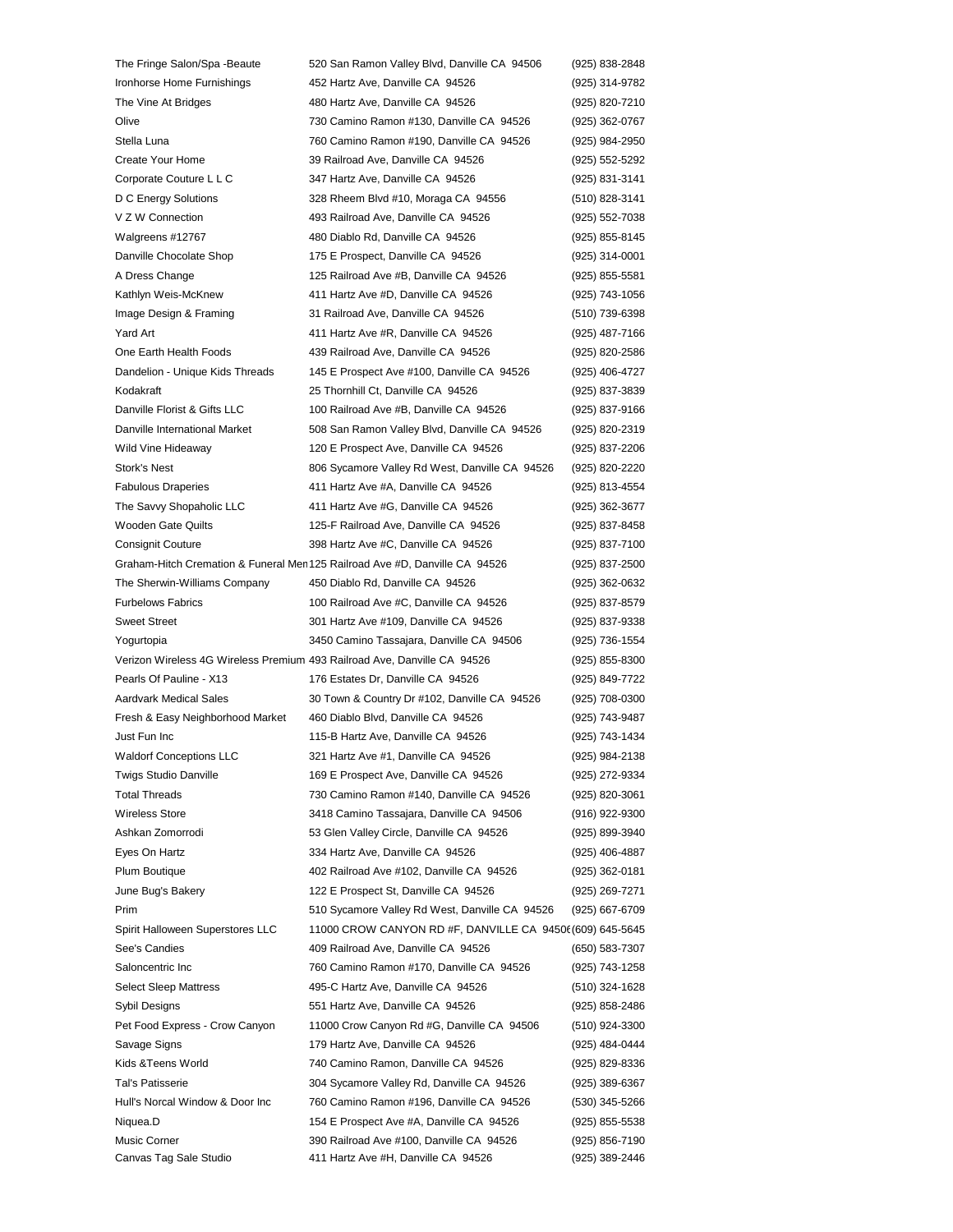The Fringe Salon/Spa -Beaute 520 San Ramon Valley Blvd, Danville CA 94506 (925) 838-2848 Ironhorse Home Furnishings 452 Hartz Ave, Danville CA 94526 (925) 314-9782 The Vine At Bridges **480 Hartz Ave, Danville CA 94526** (925) 820-7210 Olive 730 Camino Ramon #130, Danville CA 94526 (925) 362-0767 Stella Luna 760 Camino Ramon #190, Danville CA 94526 (925) 984-2950 Create Your Home 39 Railroad Ave, Danville CA 94526 (925) 552-5292 Corporate Couture L L C 347 Hartz Ave, Danville CA 94526 (925) 831-3141 D C Energy Solutions 328 Rheem Blvd #10, Moraga CA 94556 (510) 828-3141 V Z W Connection 493 Railroad Ave, Danville CA 94526 (925) 552-7038 Walgreens #12767 480 Diablo Rd, Danville CA 94526 (925) 855-8145 Danville Chocolate Shop 175 E Prospect, Danville CA 94526 (925) 314-0001 A Dress Change 125 Railroad Ave #B, Danville CA 94526 (925) 855-5581 Kathlyn Weis-McKnew 411 Hartz Ave #D, Danville CA 94526 (925) 743-1056 Image Design & Framing 31 Railroad Ave, Danville CA 94526 (510) 739-6398 Yard Art 411 Hartz Ave #R, Danville CA 94526 (925) 487-7166 One Earth Health Foods 439 Railroad Ave, Danville CA 94526 (925) 820-2586 Dandelion - Unique Kids Threads 145 E Prospect Ave #100, Danville CA 94526 (925) 406-4727 Kodakraft 25 Thornhill Ct, Danville CA 94526 (925) 837-3839 Danville Florist & Gifts LLC 100 Railroad Ave #B, Danville CA 94526 (925) 837-9166 Danville International Market 508 San Ramon Valley Blvd, Danville CA 94526 (925) 820-2319 Wild Vine Hideaway 120 E Prospect Ave, Danville CA 94526 (925) 837-2206 Stork's Nest 806 Sycamore Valley Rd West, Danville CA 94526 (925) 820-2220 Fabulous Draperies 411 Hartz Ave #A, Danville CA 94526 (925) 813-4554 The Savvy Shopaholic LLC 411 Hartz Ave #G, Danville CA 94526 (925) 362-3677 Wooden Gate Quilts 125-F Railroad Ave, Danville CA 94526 (925) 837-8458 Consignit Couture 398 Hartz Ave #C, Danville CA 94526 (925) 837-7100 Graham-Hitch Cremation & Funeral Men 125 Railroad Ave #D, Danville CA 94526 (925) 837-2500 The Sherwin-Williams Company 450 Diablo Rd, Danville CA 94526 (925) 362-0632 Furbelows Fabrics 100 Railroad Ave #C, Danville CA 94526 (925) 837-8579 Sweet Street 301 Hartz Ave #109, Danville CA 94526 (925) 837-9338 Yogurtopia 3450 Camino Tassajara, Danville CA 94506 (925) 736-1554 Verizon Wireless 4G Wireless Premium 493 Railroad Ave, Danville CA 94526 (925) 855-8300 Pearls Of Pauline - X13 176 Estates Dr, Danville CA 94526 (925) 849-7722 Aardvark Medical Sales 30 Town & Country Dr #102, Danville CA 94526 (925) 708-0300 Fresh & Easy Neighborhood Market 460 Diablo Blvd, Danville CA 94526 (925) 743-9487 Just Fun Inc 115-B Hartz Ave, Danville CA 94526 (925) 743-1434 Waldorf Conceptions LLC 321 Hartz Ave #1, Danville CA 94526 (925) 984-2138 Twigs Studio Danville 169 E Prospect Ave, Danville CA 94526 (925) 272-9334 Total Threads 730 Camino Ramon #140, Danville CA 94526 (925) 820-3061 Wireless Store 3418 Camino Tassajara, Danville CA 94506 (916) 922-9300 Ashkan Zomorrodi 53 Glen Valley Circle, Danville CA 94526 (925) 899-3940 Eyes On Hartz 334 Hartz Ave, Danville CA 94526 (925) 406-4887 Plum Boutique 402 Railroad Ave #102, Danville CA 94526 (925) 362-0181 June Bug's Bakery 122 E Prospect St, Danville CA 94526 (925) 269-7271 Prim 510 Sycamore Valley Rd West, Danville CA 94526 (925) 667-6709 Spirit Halloween Superstores LLC 11000 CROW CANYON RD #F, DANVILLE CA 94506 (609) 645-5645 See's Candies **409 Railroad Ave, Danville CA 94526** (650) 583-7307 Saloncentric Inc 760 Camino Ramon #170, Danville CA 94526 (925) 743-1258 Select Sleep Mattress 495-C Hartz Ave, Danville CA 94526 (510) 324-1628 Sybil Designs 551 Hartz Ave, Danville CA 94526 (925) 858-2486 Pet Food Express - Crow Canyon 11000 Crow Canyon Rd #G, Danville CA 94506 (510) 924-3300 Savage Signs 179 Hartz Ave, Danville CA 94526 (925) 484-0444 Kids &Teens World 740 Camino Ramon, Danville CA 94526 (925) 829-8336 Tal's Patisserie 304 Sycamore Valley Rd, Danville CA 94526 (925) 389-6367 Hull's Norcal Window & Door Inc 760 Camino Ramon #196, Danville CA 94526 (530) 345-5266 Niquea.D 154 E Prospect Ave #A, Danville CA 94526 (925) 855-5538 Music Corner 390 Railroad Ave #100, Danville CA 94526 (925) 856-7190 Canvas Tag Sale Studio 411 Hartz Ave #H, Danville CA 94526 (925) 389-2446